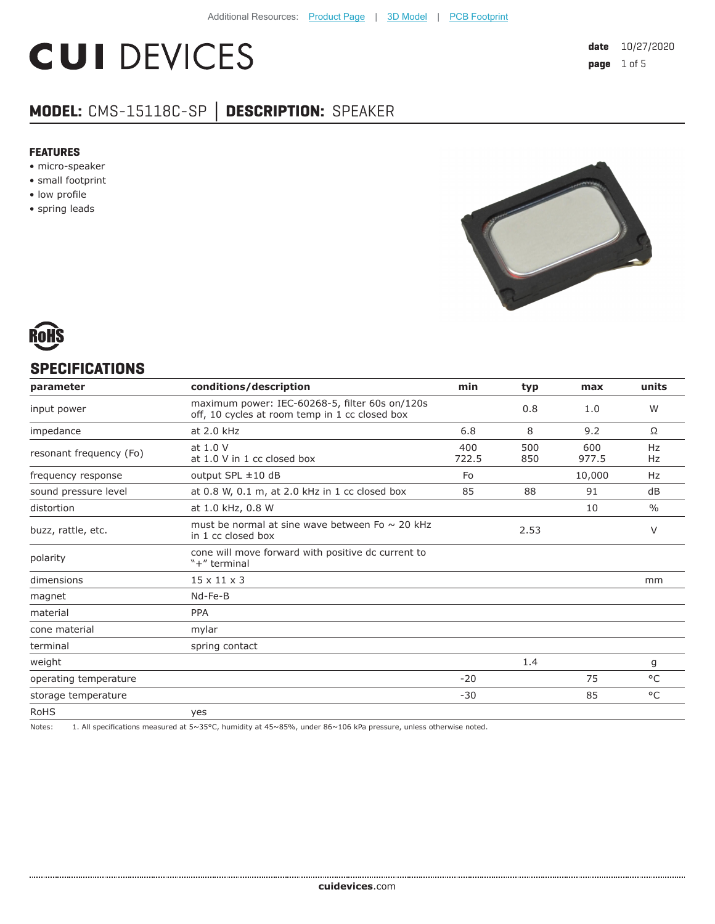# **CUI DEVICES**

## **MODEL:** CMS-15118C-SP **│ DESCRIPTION:** SPEAKER

#### **FEATURES**

- micro-speaker
- small footprint
- low profile
- spring leads





#### **SPECIFICATIONS**

| parameter               | conditions/description                                                                           | min          | typ        | max          | units         |
|-------------------------|--------------------------------------------------------------------------------------------------|--------------|------------|--------------|---------------|
| input power             | maximum power: IEC-60268-5, filter 60s on/120s<br>off, 10 cycles at room temp in 1 cc closed box |              | 0.8        | 1.0          | W             |
| impedance               | at 2.0 kHz                                                                                       | 6.8          | 8          | 9.2          | Ω             |
| resonant frequency (Fo) | at 1.0 V<br>at 1.0 V in 1 cc closed box                                                          | 400<br>722.5 | 500<br>850 | 600<br>977.5 | Hz<br>Hz      |
| frequency response      | output SPL $\pm$ 10 dB                                                                           | Fo           |            | 10,000       | Hz            |
| sound pressure level    | at 0.8 W, 0.1 m, at 2.0 kHz in 1 cc closed box                                                   | 85           | 88         | 91           | dB            |
| distortion              | at 1.0 kHz, 0.8 W                                                                                |              |            | 10           | $\frac{0}{0}$ |
| buzz, rattle, etc.      | must be normal at sine wave between Fo $\sim$ 20 kHz<br>in 1 cc closed box                       |              | 2.53       |              | V             |
| polarity                | cone will move forward with positive dc current to<br>"+" terminal                               |              |            |              |               |
| dimensions              | $15 \times 11 \times 3$                                                                          |              |            |              | mm            |
| magnet                  | Nd-Fe-B                                                                                          |              |            |              |               |
| material                | <b>PPA</b>                                                                                       |              |            |              |               |
| cone material           | mylar                                                                                            |              |            |              |               |
| terminal                | spring contact                                                                                   |              |            |              |               |
| weight                  |                                                                                                  |              | 1.4        |              | g             |
| operating temperature   |                                                                                                  | $-20$        |            | 75           | $^{\circ}$ C  |
| storage temperature     |                                                                                                  | $-30$        |            | 85           | °C            |
| <b>RoHS</b>             | yes                                                                                              |              |            |              |               |

Notes: 1. All specifications measured at 5~35°C, humidity at 45~85%, under 86~106 kPa pressure, unless otherwise noted.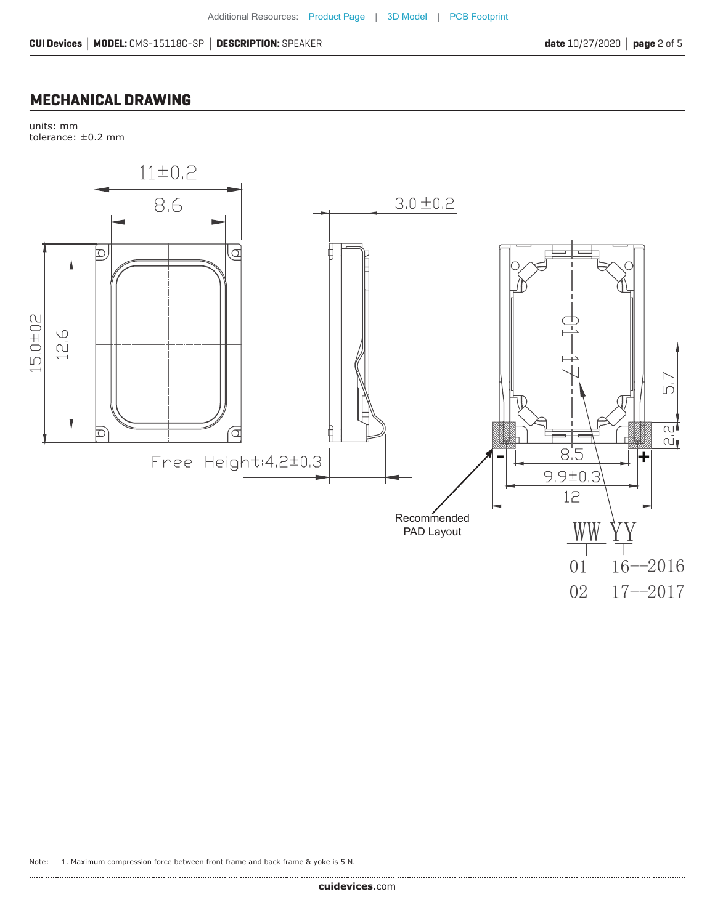### **MECHANICAL DRAWING**

units: mm tolerance: ±0.2 mm



Note: 1. Maximum compression force between front frame and back frame & yoke is 5 N.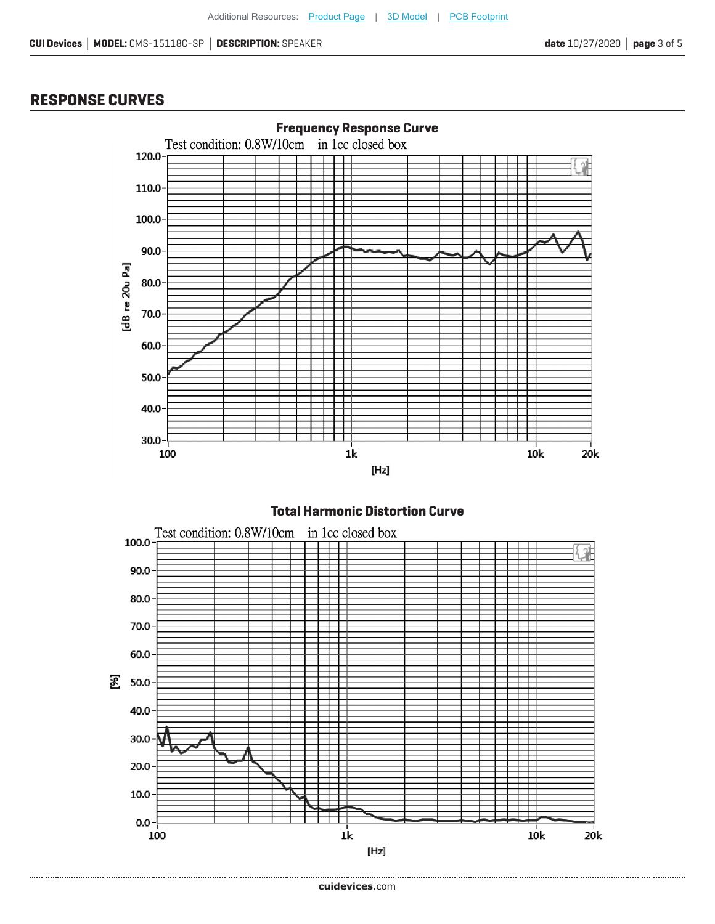## **RESPONSE CURVES**



#### **Total Harmonic Distortion Curve**

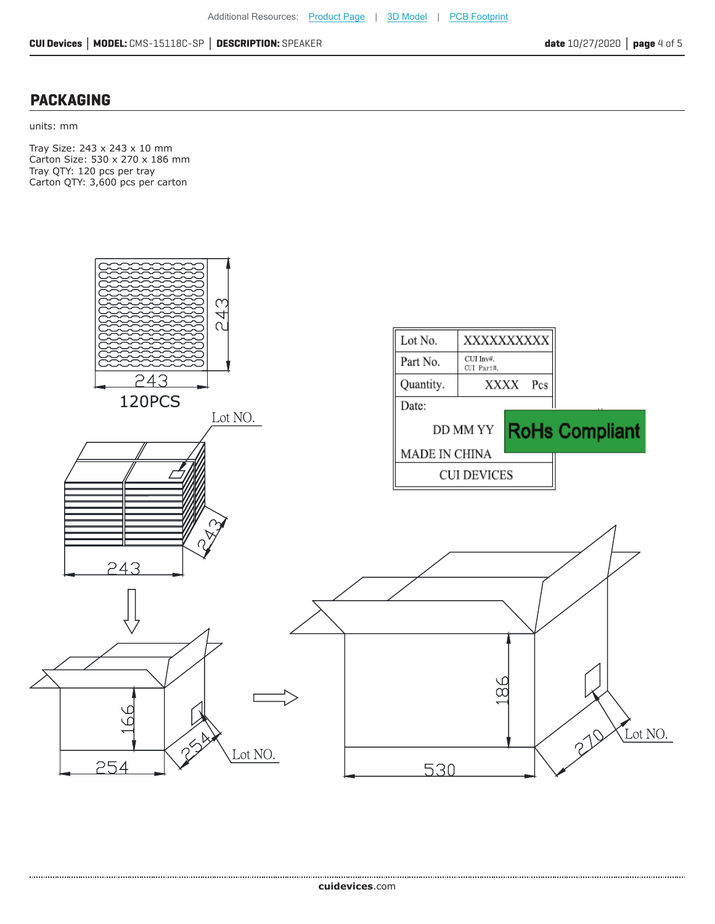#### **PACKAGING**

units: mm

Tray Size: 243 x 243 x 10 mm Carton Size: 530 x 270 x 186 mm Tray QTY: 120 pcs per tray Carton QTY: 3,600 pcs per carton